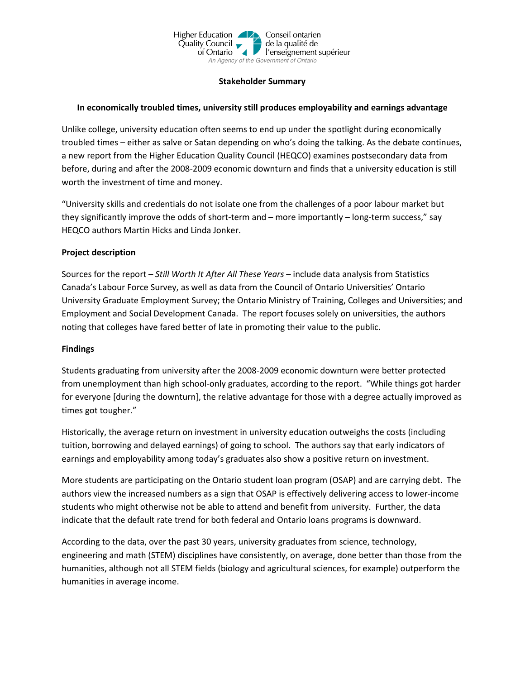

## Stakeholder Summary

## In economically troubled times, university still produces employability and earnings advantage

Unlike college, university education often seems to end up under the spotlight during economically troubled times – either as salve or Satan depending on who's doing the talking. As the debate continues, a new report from the Higher Education Quality Council (HEQCO) examines postsecondary data from before, during and after the 2008-2009 economic downturn and finds that a university education is still worth the investment of time and money.

"University skills and credentials do not isolate one from the challenges of a poor labour market but they significantly improve the odds of short-term and – more importantly – long-term success," say HEQCO authors Martin Hicks and Linda Jonker.

## Project description

Sources for the report – Still Worth It After All These Years – include data analysis from Statistics Canada's Labour Force Survey, as well as data from the Council of Ontario Universities' Ontario University Graduate Employment Survey; the Ontario Ministry of Training, Colleges and Universities; and Employment and Social Development Canada. The report focuses solely on universities, the authors noting that colleges have fared better of late in promoting their value to the public.

## Findings

Students graduating from university after the 2008-2009 economic downturn were better protected from unemployment than high school-only graduates, according to the report. "While things got harder for everyone [during the downturn], the relative advantage for those with a degree actually improved as times got tougher."

Historically, the average return on investment in university education outweighs the costs (including tuition, borrowing and delayed earnings) of going to school. The authors say that early indicators of earnings and employability among today's graduates also show a positive return on investment.

More students are participating on the Ontario student loan program (OSAP) and are carrying debt. The authors view the increased numbers as a sign that OSAP is effectively delivering access to lower-income students who might otherwise not be able to attend and benefit from university. Further, the data indicate that the default rate trend for both federal and Ontario loans programs is downward.

According to the data, over the past 30 years, university graduates from science, technology, engineering and math (STEM) disciplines have consistently, on average, done better than those from the humanities, although not all STEM fields (biology and agricultural sciences, for example) outperform the humanities in average income.